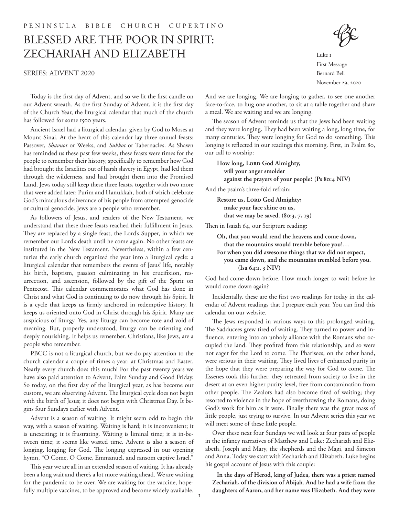# BLESSED ARE THE POOR IN SPIRIT: ZECHARIAH AND ELIZABETH

#### SERIES: ADVENT 2020



Luke 1 First Message Bernard Bell November 29, 2020

Today is the first day of Advent, and so we lit the first candle on our Advent wreath. As the first Sunday of Advent, it is the first day of the Church Year, the liturgical calendar that much of the church has followed for some 1500 years.

Ancient Israel had a liturgical calendar, given by God to Moses at Mount Sinai. At the heart of this calendar lay three annual feasts: Passover, *Shavuot* or Weeks, and *Sukkot* or Tabernacles. As Shawn has reminded us these past few weeks, these feasts were times for the people to remember their history, specifically to remember how God had brought the Israelites out of harsh slavery in Egypt, had led them through the wilderness, and had brought them into the Promised Land. Jews today still keep these three feasts, together with two more that were added later: Purim and Hanukkah, both of which celebrate God's miraculous deliverance of his people from attempted genocide or cultural genocide. Jews are a people who remember.

As followers of Jesus, and readers of the New Testament, we understand that these three feasts reached their fulfillment in Jesus. They are replaced by a single feast, the Lord's Supper, in which we remember our Lord's death until he come again. No other feasts are instituted in the New Testament. Nevertheless, within a few centuries the early church organized the year into a liturgical cycle: a liturgical calendar that remembers the events of Jesus' life, notably his birth, baptism, passion culminating in his crucifixion, resurrection, and ascension, followed by the gift of the Spirit on Pentecost. This calendar commemorates what God has done in Christ and what God is continuing to do now through his Spirit. It is a cycle that keeps us firmly anchored in redemptive history. It keeps us oriented onto God in Christ through his Spirit. Many are suspicious of liturgy. Yes, any liturgy can become rote and void of meaning. But, properly understood, liturgy can be orienting and deeply nourishing. It helps us remember. Christians, like Jews, are a people who remember.

PBCC is not a liturgical church, but we do pay attention to the church calendar a couple of times a year: at Christmas and Easter. Nearly every church does this much! For the past twenty years we have also paid attention to Advent, Palm Sunday and Good Friday. So today, on the first day of the liturgical year, as has become our custom, we are observing Advent. The liturgical cycle does not begin with the birth of Jesus; it does not begin with Christmas Day. It begins four Sundays earlier with Advent.

Advent is a season of waiting. It might seem odd to begin this way, with a season of waiting. Waiting is hard; it is inconvenient; it is unexciting; it is frustrating. Waiting is liminal time; it is in-between time; it seems like wasted time. Advent is also a season of longing, longing for God. The longing expressed in our opening hymn, "O Come, O Come, Emmanuel, and ransom captive Israel."

This year we are all in an extended season of waiting. It has already been a long wait and there's a lot more waiting ahead. We are waiting for the pandemic to be over. We are waiting for the vaccine, hopefully multiple vaccines, to be approved and become widely available.

And we are longing. We are longing to gather, to see one another face-to-face, to hug one another, to sit at a table together and share a meal. We are waiting and we are longing.

The season of Advent reminds us that the Jews had been waiting and they were longing. They had been waiting a long, long time, for many centuries. They were longing for God to do something. This longing is reflected in our readings this morning. First, in Psalm 80, our call to worship:

**How long, LORD God Almighty, will your anger smolder against the prayers of your people? (Ps 80:4 NIV)**

And the psalm's three-fold refrain:

**Restore us, LORD God Almighty; make your face shine on us, that we may be saved. (80:3, 7, 19)**

Then in Isaiah 64, our Scripture reading:

| Oh, that you would rend the heavens and come down,      |
|---------------------------------------------------------|
| that the mountains would tremble before you!            |
| For when you did awesome things that we did not expect, |
| you came down, and the mountains trembled before you.   |
| (Isa 64:1, 3 NIV)                                       |
|                                                         |

God had come down before. How much longer to wait before he would come down again?

Incidentally, these are the first two readings for today in the calendar of Advent readings that I prepare each year. You can find this calendar on our website.

The Jews responded in various ways to this prolonged waiting. The Sadducees grew tired of waiting. They turned to power and influence, entering into an unholy alliance with the Romans who occupied the land. They profited from this relationship, and so were not eager for the Lord to come. The Pharisees, on the other hand, were serious in their waiting. They lived lives of enhanced purity in the hope that they were preparing the way for God to come. The Essenes took this further: they retreated from society to live in the desert at an even higher purity level, free from contamination from other people. The Zealots had also become tired of waiting; they resorted to violence in the hope of overthrowing the Romans, doing God's work for him as it were. Finally there was the great mass of little people, just trying to survive. In our Advent series this year we will meet some of these little people.

Over these next four Sundays we will look at four pairs of people in the infancy narratives of Matthew and Luke: Zechariah and Elizabeth, Joseph and Mary, the shepherds and the Magi, and Simeon and Anna. Today we start with Zechariah and Elizabeth. Luke begins his gospel account of Jesus with this couple:

**In the days of Herod, king of Judea, there was a priest named Zechariah, of the division of Abijah. And he had a wife from the daughters of Aaron, and her name was Elizabeth. And they were**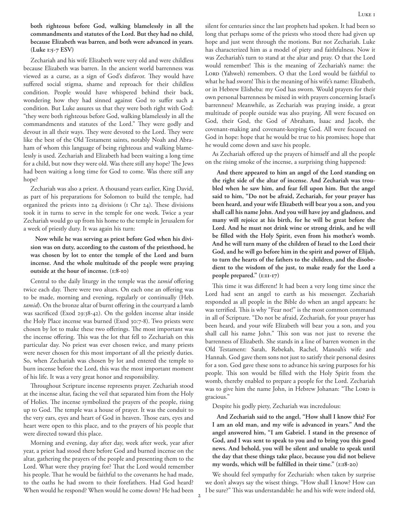**both righteous before God, walking blamelessly in all the commandments and statutes of the Lord. But they had no child, because Elizabeth was barren, and both were advanced in years. (Luke 1:5-7 ESV)**

Zechariah and his wife Elizabeth were very old and were childless because Elizabeth was barren. In the ancient world barrenness was viewed as a curse, as a sign of God's disfavor. They would have suffered social stigma, shame and reproach for their childless condition. People would have whispered behind their back, wondering how they had sinned against God to suffer such a condition. But Luke assures us that they were both right with God: "they were both righteous before God, walking blamelessly in all the commandments and statutes of the Lord." They were godly and devout in all their ways. They were devoted to the Lord. They were like the best of the Old Testament saints, notably Noah and Abraham of whom this language of being righteous and walking blamelessly is used. Zechariah and Elizabeth had been waiting a long time for a child, but now they were old. Was there still any hope? The Jews had been waiting a long time for God to come. Was there still any hope?

Zechariah was also a priest. A thousand years earlier, King David, as part of his preparations for Solomon to build the temple, had organized the priests into 24 divisions (1 Chr 24). These divisions took it in turns to serve in the temple for one week. Twice a year Zechariah would go up from his home to the temple in Jerusalem for a week of priestly duty. It was again his turn:

**Now while he was serving as priest before God when his division was on duty, according to the custom of the priesthood, he was chosen by lot to enter the temple of the Lord and burn incense. And the whole multitude of the people were praying outside at the hour of incense. (1:8-10)**

Central to the daily liturgy in the temple was the *tamid* offering twice each day. There were two altars. On each one an offering was to be made, morning and evening, regularly or continually (Heb. *tamid*). On the bronze altar of burnt offering in the courtyard a lamb was sacrificed (Exod 29:38-42). On the golden incense altar inside the Holy Place incense was burned (Exod 30:7-8). Two priests were chosen by lot to make these two offerings. The most important was the incense offering. This was the lot that fell to Zechariah on this particular day. No priest was ever chosen twice, and many priests were never chosen for this most important of all the priestly duties. So, when Zechariah was chosen by lot and entered the temple to burn incense before the Lord, this was the most important moment of his life. It was a very great honor and responsibility.

Throughout Scripture incense represents prayer. Zechariah stood at the incense altar, facing the veil that separated him from the Holy of Holies. The incense symbolized the prayers of the people, rising up to God. The temple was a house of prayer. It was the conduit to the very ears, eyes and heart of God in heaven. Those ears, eyes and heart were open to this place, and to the prayers of his people that were directed toward this place.

Morning and evening, day after day, week after week, year after year, a priest had stood there before God and burned incense on the altar, gathering the prayers of the people and presenting them to the Lord. What were they praying for? That the Lord would remember his people. That he would be faithful to the covenants he had made, to the oaths he had sworn to their forefathers. Had God heard? When would he respond? When would he come down? He had been silent for centuries since the last prophets had spoken. It had been so long that perhaps some of the priests who stood there had given up hope and just went through the motions. But not Zechariah. Luke has characterized him as a model of piety and faithfulness. Now it was Zechariah's turn to stand at the altar and pray. O that the Lord would remember! This is the meaning of Zechariah's name: the LORD (Yahweh) remembers. O that the Lord would be faithful to what he had sworn! This is the meaning of his wife's name: Elizabeth, or in Hebrew Elisheba: my God has sworn. Would prayers for their own personal barrenness be mixed in with prayers concerning Israel's barrenness? Meanwhile, as Zechariah was praying inside, a great multitude of people outside was also praying. All were focused on God, their God, the God of Abraham, Isaac and Jacob, the covenant-making and covenant-keeping God. All were focused on God in hope: hope that he would be true to his promises; hope that he would come down and save his people.

As Zechariah offered up the prayers of himself and all the people on the rising smoke of the incense, a surprising thing happened:

**And there appeared to him an angel of the Lord standing on the right side of the altar of incense. And Zechariah was troubled when he saw him, and fear fell upon him. But the angel said to him, "Do not be afraid, Zechariah, for your prayer has been heard, and your wife Elizabeth will bear you a son, and you shall call his name John. And you will have joy and gladness, and many will rejoice at his birth, for he will be great before the Lord. And he must not drink wine or strong drink, and he will be filled with the Holy Spirit, even from his mother's womb. And he will turn many of the children of Israel to the Lord their God, and he will go before him in the spirit and power of Elijah, to turn the hearts of the fathers to the children, and the disobedient to the wisdom of the just, to make ready for the Lord a people prepared." (1:11-17)**

This time it was different! It had been a very long time since the Lord had sent an angel to earth as his messenger. Zechariah responded as all people in the Bible do when an angel appears: he was terrified. This is why "Fear not!" is the most common command in all of Scripture. "Do not be afraid, Zechariah, for your prayer has been heard, and your wife Elizabeth will bear you a son, and you shall call his name John." This son was not just to reverse the barrenness of Elizabeth. She stands in a line of barren women in the Old Testament: Sarah, Rebekah, Rachel, Manoah's wife and Hannah. God gave them sons not just to satisfy their personal desires for a son. God gave these sons to advance his saving purposes for his people. This son would be filled with the Holy Spirit from the womb, thereby enabled to prepare a people for the Lord. Zechariah was to give him the name John, in Hebrew Johanan: "The LORD is gracious."

Despite his godly piety, Zechariah was incredulous:

**And Zechariah said to the angel, "How shall I know this? For I am an old man, and my wife is advanced in years." And the angel answered him, "I am Gabriel. I stand in the presence of God, and I was sent to speak to you and to bring you this good news. And behold, you will be silent and unable to speak until the day that these things take place, because you did not believe my words, which will be fulfilled in their time." (1:18-20)**

We should feel sympathy for Zechariah: when taken by surprise we don't always say the wisest things. "How shall I know? How can I be sure?" This was understandable: he and his wife were indeed old,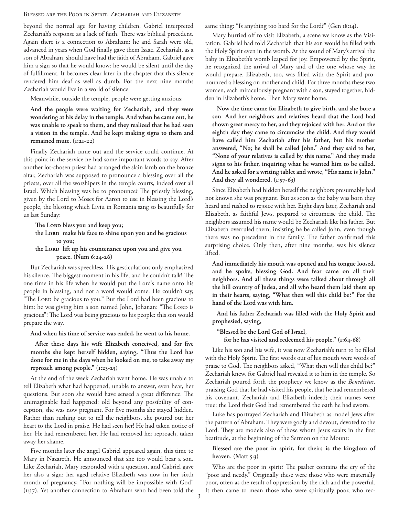## BLESSED ARE THE POOR IN SPIRIT: ZECHARIAH AND ELIZABETH

beyond the normal age for having children. Gabriel interpreted Zechariah's response as a lack of faith. There was biblical precedent. Again there is a connection to Abraham: he and Sarah were old, advanced in years when God finally gave them Isaac. Zechariah, as a son of Abraham, should have had the faith of Abraham. Gabriel gave him a sign so that he would know: he would be silent until the day of fulfillment. It becomes clear later in the chapter that this silence rendered him deaf as well as dumb. For the next nine months Zechariah would live in a world of silence.

Meanwhile, outside the temple, people were getting anxious:

**And the people were waiting for Zechariah, and they were wondering at his delay in the temple. And when he came out, he was unable to speak to them, and they realized that he had seen a vision in the temple. And he kept making signs to them and remained mute. (1:21-22)**

Finally Zechariah came out and the service could continue. At this point in the service he had some important words to say. After another lot-chosen priest had arranged the slain lamb on the bronze altar, Zechariah was supposed to pronounce a blessing over all the priests, over all the worshipers in the temple courts, indeed over all Israel. Which blessing was he to pronounce? The priestly blessing, given by the Lord to Moses for Aaron to use in blessing the Lord's people, the blessing which Liviu in Romania sang so beautifully for us last Sunday:

**The LORD bless you and keep you;**

**the LORD make his face to shine upon you and be gracious to you;**

### **the LORD lift up his countenance upon you and give you peace. (Num 6:24-26)**

But Zechariah was speechless. His gesticulations only emphasized his silence. The biggest moment in his life, and he couldn't talk! The one time in his life when he would put the Lord's name onto his people in blessing, and not a word would come. He couldn't say, "The LORD be gracious to you." But the Lord had been gracious to him: he was giving him a son named John, Johanan: "The LORD is gracious"! The Lord was being gracious to his people: this son would prepare the way.

**And when his time of service was ended, he went to his home.**

**After these days his wife Elizabeth conceived, and for five months she kept herself hidden, saying, "Thus the Lord has done for me in the days when he looked on me, to take away my reproach among people." (1:23-25)**

At the end of the week Zechariah went home. He was unable to tell Elizabeth what had happened, unable to answer, even hear, her questions. But soon she would have sensed a great difference. The unimaginable had happened: old beyond any possibility of conception, she was now pregnant. For five months she stayed hidden. Rather than rushing out to tell the neighbors, she poured out her heart to the Lord in praise. He had seen her! He had taken notice of her. He had remembered her. He had removed her reproach, taken away her shame.

Five months later the angel Gabriel appeared again, this time to Mary in Nazareth. He announced that she too would bear a son. Like Zechariah, Mary responded with a question, and Gabriel gave her also a sign: her aged relative Elizabeth was now in her sixth month of pregnancy, "For nothing will be impossible with God" (1:37). Yet another connection to Abraham who had been told the

same thing: "Is anything too hard for the Lord?" (Gen 18:14).

Mary hurried off to visit Elizabeth, a scene we know as the Visitation. Gabriel had told Zechariah that his son would be filled with the Holy Spirit even in the womb. At the sound of Mary's arrival the baby in Elizabeth's womb leaped for joy. Empowered by the Spirit, he recognized the arrival of Mary and of the one whose way he would prepare. Elizabeth, too, was filled with the Spirit and pronounced a blessing on mother and child. For three months these two women, each miraculously pregnant with a son, stayed together, hidden in Elizabeth's home. Then Mary went home.

**Now the time came for Elizabeth to give birth, and she bore a son. And her neighbors and relatives heard that the Lord had shown great mercy to her, and they rejoiced with her. And on the eighth day they came to circumcise the child. And they would have called him Zechariah after his father, but his mother answered, "No; he shall be called John." And they said to her, "None of your relatives is called by this name." And they made signs to his father, inquiring what he wanted him to be called. And he asked for a writing tablet and wrote, "His name is John." And they all wondered. (1:57-63)**

Since Elizabeth had hidden herself the neighbors presumably had not known she was pregnant. But as soon as the baby was born they heard and rushed to rejoice with her. Eight days later, Zechariah and Elizabeth, as faithful Jews, prepared to circumcise the child. The neighbors assumed his name would be Zechariah like his father. But Elizabeth overruled them, insisting he be called John, even though there was no precedent in the family. The father confirmed this surprising choice. Only then, after nine months, was his silence lifted.

**And immediately his mouth was opened and his tongue loosed, and he spoke, blessing God. And fear came on all their neighbors. And all these things were talked about through all the hill country of Judea, and all who heard them laid them up in their hearts, saying, "What then will this child be?" For the hand of the Lord was with him.**

**And his father Zechariah was filled with the Holy Spirit and prophesied, saying,**

**"Blessed be the Lord God of Israel,**

**for he has visited and redeemed his people." (1:64-68)**

Like his son and his wife, it was now Zechariah's turn to be filled with the Holy Spirit. The first words out of his mouth were words of praise to God. The neighbors asked, "What then will this child be?" Zechariah knew, for Gabriel had revealed it to him in the temple. So Zechariah poured forth the prophecy we know as the *Benedictus*, praising God that he had visited his people, that he had remembered his covenant. Zechariah and Elizabeth indeed; their names were true: the Lord their God had remembered the oath he had sworn.

Luke has portrayed Zechariah and Elizabeth as model Jews after the pattern of Abraham. They were godly and devout, devoted to the Lord. They are models also of those whom Jesus exalts in the first beatitude, at the beginning of the Sermon on the Mount:

## **Blessed are the poor in spirit, for theirs is the kingdom of heaven. (Matt 5:3)**

Who are the poor in spirit? The psalter contains the cry of the "poor and needy." Originally these were those who were materially poor, often as the result of oppression by the rich and the powerful. It then came to mean those who were spiritually poor, who rec-